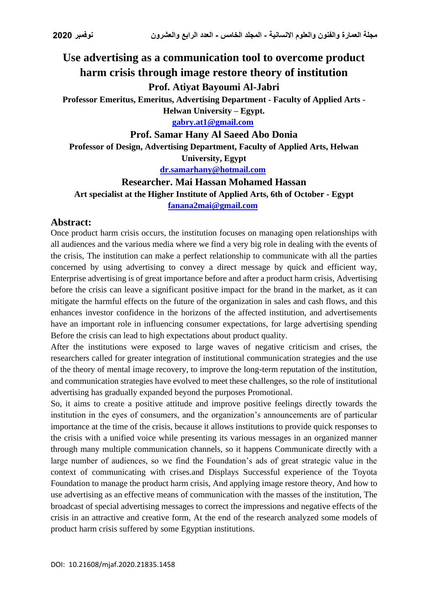# **Use advertising as a communication tool to overcome product harm crisis through image restore theory of institution**

## **Prof. Atiyat Bayoumi Al-Jabri**

**Professor Emeritus, Emeritus, Advertising Department - Faculty of Applied Arts -**

**Helwan University – Egypt.**

**[gabry.at1@gmail.com](mailto:gabry.at1@gmail.com)** 

### **Prof. Samar Hany Al Saeed Abo Donia**

**Professor of Design, Advertising Department, Faculty of Applied Arts, Helwan University, Egypt**

**[dr.samarhany@hotmail.com](mailto:dr.samarhany@hotmail.com)** 

### **Researcher. Mai Hassan Mohamed Hassan**

**Art specialist at the Higher Institute of Applied Arts, 6th of October - Egypt [fanana2mai@gmail.com](mailto:fanana2mai@gmail.com)** 

### **Abstract:**

Once product harm crisis occurs, the institution focuses on managing open relationships with all audiences and the various media where we find a very big role in dealing with the events of the crisis, The institution can make a perfect relationship to communicate with all the parties concerned by using advertising to convey a direct message by quick and efficient way, Enterprise advertising is of great importance before and after a product harm crisis, Advertising before the crisis can leave a significant positive impact for the brand in the market, as it can mitigate the harmful effects on the future of the organization in sales and cash flows, and this enhances investor confidence in the horizons of the affected institution, and advertisements have an important role in influencing consumer expectations, for large advertising spending Before the crisis can lead to high expectations about product quality.

After the institutions were exposed to large waves of negative criticism and crises, the researchers called for greater integration of institutional communication strategies and the use of the theory of mental image recovery, to improve the long-term reputation of the institution, and communication strategies have evolved to meet these challenges, so the role of institutional advertising has gradually expanded beyond the purposes Promotional.

So, it aims to create a positive attitude and improve positive feelings directly towards the institution in the eyes of consumers, and the organization's announcements are of particular importance at the time of the crisis, because it allows institutions to provide quick responses to the crisis with a unified voice while presenting its various messages in an organized manner through many multiple communication channels, so it happens Communicate directly with a large number of audiences, so we find the Foundation's ads of great strategic value in the context of communicating with crises.and Displays Successful experience of the Toyota Foundation to manage the product harm crisis, And applying image restore theory, And how to use advertising as an effective means of communication with the masses of the institution, The broadcast of special advertising messages to correct the impressions and negative effects of the crisis in an attractive and creative form, At the end of the research analyzed some models of product harm crisis suffered by some Egyptian institutions.